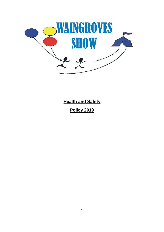

**Health and Safety Policy 2019**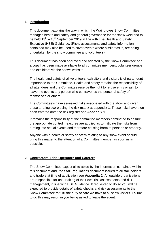#### **1. Introduction**

This document explains the way in which the Waingroves Show Committee manages health and safety and general governance for the show weekend to be held  $13<sup>th</sup> - 15<sup>th</sup>$  September 2019 in line with The Health and Safety Executive (HSE) Guidance. (Risks assessments and safety information contained may also be used to cover events where similar tasks, are being undertaken by the show committee and volunteers).

This document has been approved and adopted by the Show Committee and a copy has been made available to all committee members, volunteer groups and exhibitors via the shows website.

The health and safety of all volunteers, exhibitors and visitors is of paramount importance to the Committee. Health and safety remains the responsibility of all attendees and the Committee reserve the right to refuse entry or ask to leave the events any person who contravenes the personal safety of themselves or others.

The Committee's have assessed risks associated with the show and given these a rating score using the risk matrix at appendix 1. These risks have then been entered onto the risk register see **Appendix 1**.

It remains the responsibility of the committee members nominated to ensure the appropriate control measures are applied as to mitigate the risks from turning into actual events and therefore causing harm to persons or property.

Anyone with a health or safety concern relating to any show event should bring this matter to the attention of a Committee member as soon as is possible.

#### **2. Contractors, Ride Operators and Caterers**

The Show Committee expect all to abide by the information contained within this document and the Stall Regulations document issued to all stall holders and traders at time of application see **Appendix 2**. All outside organisations are responsible for undertaking of their own risk assessments and risk management, in line with HSE Guidance. If requested to do so you will be expected to provide details of safety checks and risk assessments to the Show Committee to fulfil the duty of care we have to all show visitors. Failure to do this may result in you being asked to leave the event.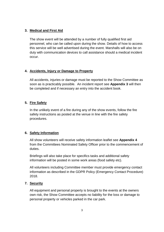### **3. Medical and First Aid**

The show event will be attended by a number of fully qualified first aid personnel, who can be called upon during the show. Details of how to access this service will be well advertised during the event. Marshalls will also be on duty with communication devices to call assistance should a medical incident occur.

# **4. Accidents, Injury or Damage to Property**

All accidents, injuries or damage must be reported to the Show Committee as soon as is practicably possible. An incident report see **Appendix 3** will then be completed and if necessary an entry into the accident book.

# **5. Fire Safety**

In the unlikely event of a fire during any of the show events, follow the fire safety instructions as posted at the venue in line with the fire safety procedures.

# **6. Safety Information**

All show volunteers will receive safety information leaflet see **Appendix 4** from the Committees Nominated Safety Officer prior to the commencement of duties.

Briefings will also take place for specifics tasks and additional safety information will be posted in some work areas (food safety etc).

All volunteers including Committee member must provide emergency contact information as described in the GDPR Policy (Emergency Contact Procedure) 2018.

# **7. Security**

All equipment and personal property is brought to the events at the owners own risk, the Show Committee accepts no liability for the loss or damage to personal property or vehicles parked in the car park.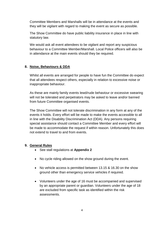Committee Members and Marshalls will be in attendance at the events and they will be vigilant with regard to making the event as secure as possible.

The Show Committee do have public liability insurance in place in line with statutory law.

We would ask all event attendees to be vigilant and report any suspicious behaviour to a Committee Member/Marshall. Local Police officers will also be in attendance at the main events should they be required.

### **8. Noise, Behaviours & DDA**

Whilst all events are arranged for people to have fun the Committee do expect that all attendees respect others, especially in relation to excessive noise or inappropriate behaviour.

As these are mainly family events lewd/rude behaviour or excessive swearing will not be tolerated and perpetrators may be asked to leave and/or banned from future Committee organised events.

The Show Committee will not tolerate discrimination in any form at any of the events it holds. Every effort will be made to make the events accessible to all in line with the Disability Discrimination Act (DDA). Any persons requiring special assistance should contact a Committee Member and every effort will be made to accommodate the request if within reason. Unfortunately this does not extend to travel to and from events.

#### **9. General Rules**

- See stall regulations at **Appendix 2**
- No cycle riding allowed on the show ground during the event.
- No vehicle access is permitted between 13.15 & 16.30 on the show ground other than emergency service vehicles if required.
- Volunteers under the age of 16 must be accompanied and supervised by an appropriate parent or guardian. Volunteers under the age of 18 are excluded from specific task as identified within the risk assessments.